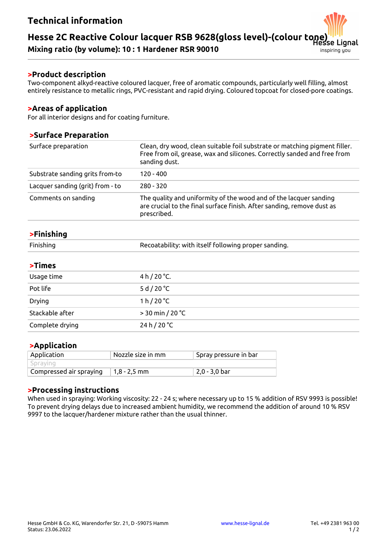# **Technical information**

#### **Hesse 2C Reactive Colour lacquer RSB 9628(gloss level)-(colour tone)** ianal

**Mixing ratio (by volume): 10 : 1 Hardener RSR 90010**

### **>Product description**

Two-component alkyd-reactive coloured lacquer, free of aromatic compounds, particularly well filling, almost entirely resistance to metallic rings, PVC-resistant and rapid drying. Coloured topcoat for closed-pore coatings.

### **>Areas of application**

For all interior designs and for coating furniture.

### **>Surface Preparation**

| Surface preparation              | Clean, dry wood, clean suitable foil substrate or matching pigment filler.<br>Free from oil, grease, wax and silicones. Correctly sanded and free from<br>sanding dust. |  |
|----------------------------------|-------------------------------------------------------------------------------------------------------------------------------------------------------------------------|--|
| Substrate sanding grits from-to  | $120 - 400$                                                                                                                                                             |  |
| Lacquer sanding (grit) from - to | $280 - 320$                                                                                                                                                             |  |
| Comments on sanding              | The quality and uniformity of the wood and of the lacquer sanding<br>are crucial to the final surface finish. After sanding, remove dust as<br>prescribed.              |  |
|                                  |                                                                                                                                                                         |  |

## **>Finishing**

| Finishing | Recoatability: with itself following proper sanding. |
|-----------|------------------------------------------------------|
|-----------|------------------------------------------------------|

| <b>&gt;Times</b> |                       |
|------------------|-----------------------|
| Usage time       | 4 h / 20 $°C.$        |
| Pot life         | 5 d / 20 $^{\circ}$ C |
| <b>Drying</b>    | 1 h/20 °C             |
| Stackable after  | $> 30$ min / 20 °C    |
| Complete drying  | 24 h / 20 °C          |

### **>Application**

| Application             | Nozzle size in mm | $\mathop{!}\mathsf{Spray}\,$ pressure in <code>bar</code> |
|-------------------------|-------------------|-----------------------------------------------------------|
| Spraving                |                   |                                                           |
| Compressed air spraying | 1,8 - 2,5 mm      | 2,0 - 3,0 bar                                             |

### **>Processing instructions**

When used in spraying: Working viscosity: 22 - 24 s; where necessary up to 15 % addition of RSV 9993 is possible! To prevent drying delays due to increased ambient humidity, we recommend the addition of around 10 % RSV 9997 to the lacquer/hardener mixture rather than the usual thinner.

inspiring you